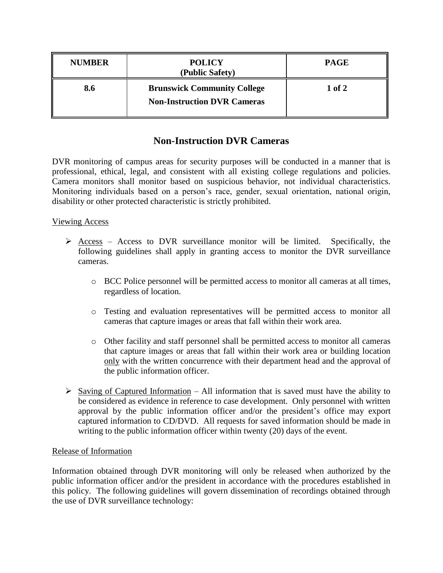| <b>NUMBER</b> | <b>POLICY</b><br>(Public Safety)                                         | <b>PAGE</b> |
|---------------|--------------------------------------------------------------------------|-------------|
| 8.6           | <b>Brunswick Community College</b><br><b>Non-Instruction DVR Cameras</b> | 1 of 2      |

## **Non-Instruction DVR Cameras**

DVR monitoring of campus areas for security purposes will be conducted in a manner that is professional, ethical, legal, and consistent with all existing college regulations and policies. Camera monitors shall monitor based on suspicious behavior, not individual characteristics. Monitoring individuals based on a person's race, gender, sexual orientation, national origin, disability or other protected characteristic is strictly prohibited.

## Viewing Access

- $\triangleright$  Access Access to DVR surveillance monitor will be limited. Specifically, the following guidelines shall apply in granting access to monitor the DVR surveillance cameras.
	- o BCC Police personnel will be permitted access to monitor all cameras at all times, regardless of location.
	- o Testing and evaluation representatives will be permitted access to monitor all cameras that capture images or areas that fall within their work area.
	- o Other facility and staff personnel shall be permitted access to monitor all cameras that capture images or areas that fall within their work area or building location only with the written concurrence with their department head and the approval of the public information officer.
- $\triangleright$  Saving of Captured Information All information that is saved must have the ability to be considered as evidence in reference to case development. Only personnel with written approval by the public information officer and/or the president's office may export captured information to CD/DVD. All requests for saved information should be made in writing to the public information officer within twenty (20) days of the event.

## Release of Information

Information obtained through DVR monitoring will only be released when authorized by the public information officer and/or the president in accordance with the procedures established in this policy. The following guidelines will govern dissemination of recordings obtained through the use of DVR surveillance technology: